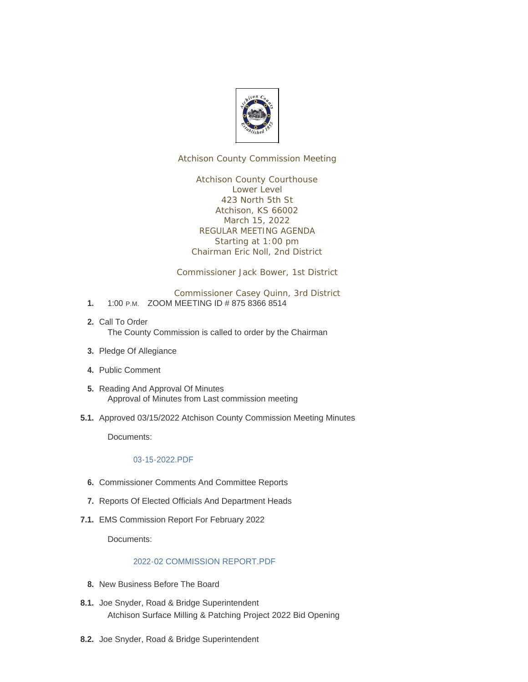

Atchison County Commission Meeting

Atchison County Courthouse Lower Level 423 North 5th St Atchison, KS 66002 March 15, 2022 REGULAR MEETING AGENDA Starting at 1:00 pm Chairman Eric Noll, 2nd District

Commissioner Jack Bower, 1st District

Commissioner Casey Quinn, 3rd District

- 1. 1:00 P.M. ZOOM MEETING ID # 875 8366 8514
- 2. Call To Order The County Commission is called to order by the Chairman
- 3. Pledge Of Allegiance
- Public Comment **4.**
- 5. Reading And Approval Of Minutes Approval of Minutes from Last commission meeting
- 5.1. Approved 03/15/2022 Atchison County Commission Meeting Minutes

Documents:

## [03-15-2022.PDF](http://www.atchisoncountyks.org/AgendaCenter/ViewFile/Item/10491?fileID=1726)

- **6.** Commissioner Comments And Committee Reports
- 7. Reports Of Elected Officials And Department Heads
- EMS Commission Report For February 2022 **7.1.**

Documents:

## [2022-02 COMMISSION REPORT.PDF](http://www.atchisoncountyks.org/AgendaCenter/ViewFile/Item/10081?fileID=1699)

- 8. New Business Before The Board
- 8.1. Joe Snyder, Road & Bridge Superintendent Atchison Surface Milling & Patching Project 2022 Bid Opening
- 8.2. Joe Snyder, Road & Bridge Superintendent